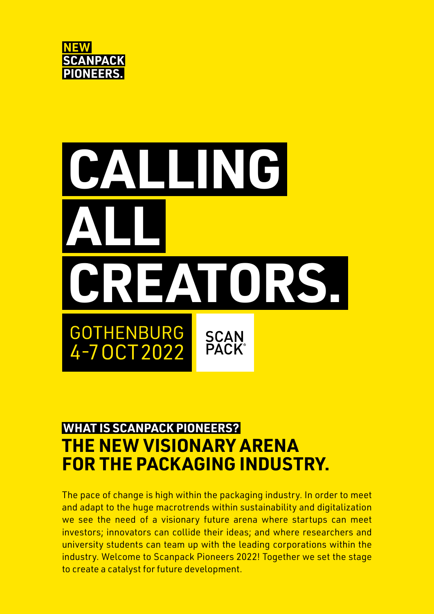

# **ALLING ALL CREATORS. GOTHENBURG SCAN**<br>PACK® 4-70CT2022

### **WHAT IS SCANPACK PIONEERS? THE NEW VISIONARY ARENA FOR THE PACKAGING INDUSTRY.**

The pace of change is high within the packaging industry. In order to meet and adapt to the huge macrotrends within sustainability and digitalization we see the need of a visionary future arena where startups can meet investors; innovators can collide their ideas; and where researchers and university students can team up with the leading corporations within the industry. Welcome to Scanpack Pioneers 2022! Together we set the stage to create a catalyst for future development.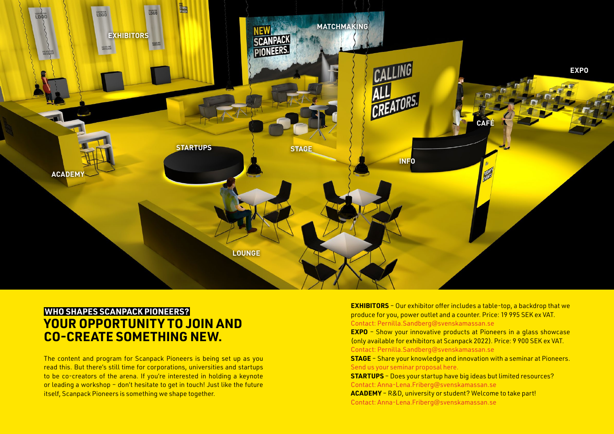The content and program for Scanpack Pioneers is being set up as you read this. But there's still time for corporations, universities and startups to be co-creators of the arena. If you're interested in holding a keynote or leading a workshop – don't hesitate to get in touch! Just like the future itself, Scanpack Pioneers is something we shape together.

## **YOUR OPPORTUNITY TO JOIN AND CO-CREATE SOMETHING NEW. WHO SHAPES SCANPACK PIONEERS?**



**EXHIBITORS** – Our exhibitor offer includes a table-top, a backdrop that we produce for you, power outlet and a counter. Price: 19 995 SEK ex VAT. Contac[t: P](mailto:Pernilla.Sandberg%40svenskamassan.se?subject=Scanpack%20Pioneers%20Exhibitors)ernilla.Sandberg@svenskamassan.se **EXPO** - Show your innovative products at Pioneers in a glass showcase (only available for exhibitors at Scanpack 2022). Price: 9 900 SEK ex VAT. Contac[t: P](mailto:Pernilla.Sandberg%40svenskamassan.se?subject=Scanpack%20Pioneers%20Expo)ernilla.Sandberg@svenskamassan.se **STAGE** – Share your knowledge and innovation with a seminar at Pioneers. [Send us your seminar proposal here.](https://en.scanpack.se/seminar-proposals/) **STARTUPS** – Does your startup have big ideas but limited resources? [Contact: Anna-Lena.Friberg@svenskamassan.se](mailto:Anna-Lena.Friberg%40svenskamassan.se?subject=) **ACADEMY** – R&D, university or student? Welcome to take part! [Contact: Anna-Lena.Friberg@svenskamassan.se](mailto:Anna-Lena.Friberg%40svenskamassan.se?subject=)